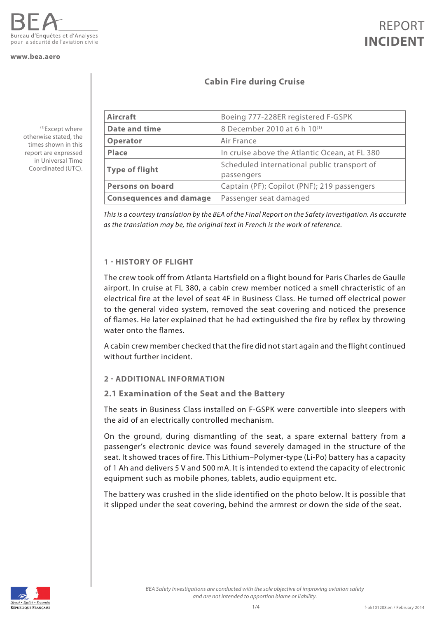

#### **www.bea.aero**

(1)Except where otherwise stated, the times shown in this report are expressed in Universal Time Coordinated (UTC).

### REPORT **INCIDENT**

### **Cabin Fire during Cruise**

| <b>Aircraft</b>                | Boeing 777-228ER registered F-GSPK                        |
|--------------------------------|-----------------------------------------------------------|
| <b>Date and time</b>           | 8 December 2010 at 6 h 10 <sup>(1)</sup>                  |
| <b>Operator</b>                | Air France                                                |
| <b>Place</b>                   | In cruise above the Atlantic Ocean, at FL 380             |
| <b>Type of flight</b>          | Scheduled international public transport of<br>passengers |
| <b>Persons on board</b>        | Captain (PF); Copilot (PNF); 219 passengers               |
| <b>Consequences and damage</b> | Passenger seat damaged                                    |

*This is a courtesy translation by the BEA of the Final Report on the Safety Investigation. As accurate as the translation may be, the original text in French is the work of reference.*

#### **1 - HISTORY OF FLIGHT**

The crew took off from Atlanta Hartsfield on a flight bound for Paris Charles de Gaulle airport. In cruise at FL 380, a cabin crew member noticed a smell chracteristic of an electrical fire at the level of seat 4F in Business Class. He turned off electrical power to the general video system, removed the seat covering and noticed the presence of flames. He later explained that he had extinguished the fire by reflex by throwing water onto the flames.

A cabin crew member checked that the fire did not start again and the flight continued without further incident.

#### **2 - ADDITIONAL INFORMATION**

#### **2.1 Examination of the Seat and the Battery**

The seats in Business Class installed on F-GSPK were convertible into sleepers with the aid of an electrically controlled mechanism.

On the ground, during dismantling of the seat, a spare external battery from a passenger's electronic device was found severely damaged in the structure of the seat. It showed traces of fire. This Lithium–Polymer-type (Li-Po) battery has a capacity of 1 Ah and delivers 5 V and 500 mA. It is intended to extend the capacity of electronic equipment such as mobile phones, tablets, audio equipment etc.

The battery was crushed in the slide identified on the photo below. It is possible that it slipped under the seat covering, behind the armrest or down the side of the seat.

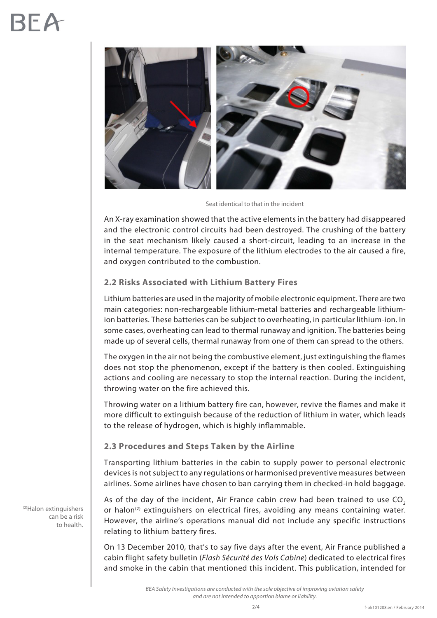

Seat identical to that in the incident

An X-ray examination showed that the active elements in the battery had disappeared and the electronic control circuits had been destroyed. The crushing of the battery in the seat mechanism likely caused a short-circuit, leading to an increase in the internal temperature. The exposure of the lithium electrodes to the air caused a fire, and oxygen contributed to the combustion.

#### **2.2 Risks Associated with Lithium Battery Fires**

Lithium batteries are used in the majority of mobile electronic equipment. There are two main categories: non-rechargeable lithium-metal batteries and rechargeable lithiumion batteries. These batteries can be subject to overheating, in particular lithium-ion. In some cases, overheating can lead to thermal runaway and ignition. The batteries being made up of several cells, thermal runaway from one of them can spread to the others.

The oxygen in the air not being the combustive element, just extinguishing the flames does not stop the phenomenon, except if the battery is then cooled. Extinguishing actions and cooling are necessary to stop the internal reaction. During the incident, throwing water on the fire achieved this.

Throwing water on a lithium battery fire can, however, revive the flames and make it more difficult to extinguish because of the reduction of lithium in water, which leads to the release of hydrogen, which is highly inflammable.

#### **2.3 Procedures and Steps Taken by the Airline**

Transporting lithium batteries in the cabin to supply power to personal electronic devices is not subject to any regulations or harmonised preventive measures between airlines. Some airlines have chosen to ban carrying them in checked-in hold baggage.

As of the day of the incident, Air France cabin crew had been trained to use  $CO<sub>2</sub>$ or halon<sup>(2)</sup> extinguishers on electrical fires, avoiding any means containing water. However, the airline's operations manual did not include any specific instructions relating to lithium battery fires.

On 13 December 2010, that's to say five days after the event, Air France published a cabin flight safety bulletin (*Flash Sécurité des Vols Cabine*) dedicated to electrical fires and smoke in the cabin that mentioned this incident. This publication, intended for

> *BEA Safety Investigations are conducted with the sole objective of improving aviation safety and are not intended to apportion blame or liability.*

(2)Halon extinguishers can be a risk to health.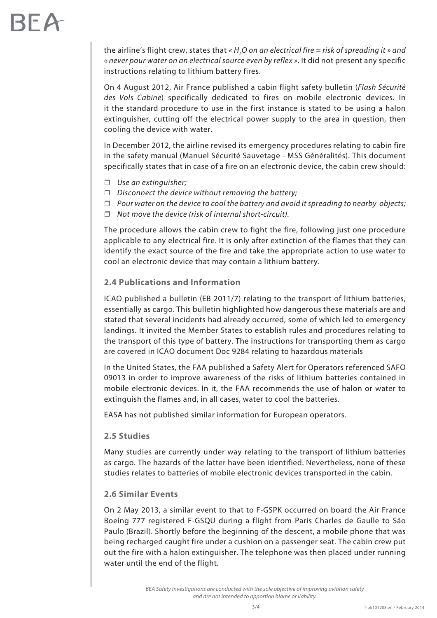## **RFA**

the airline's flight crew, states that «  $H_{_2}$ O on an electrical fire = risk of spreading it » and *« never pour water on an electrical source even by reflex »*. It did not present any specific instructions relating to lithium battery fires.

On 4 August 2012, Air France published a cabin flight safety bulletin (*Flash Sécurité des Vols Cabine*) specifically dedicated to fires on mobile electronic devices. In it the standard procedure to use in the first instance is stated to be using a halon extinguisher, cutting off the electrical power supply to the area in question, then cooling the device with water.

In December 2012, the airline revised its emergency procedures relating to cabin fire in the safety manual (Manuel Sécurité Sauvetage - MSS Généralités). This document specifically states that in case of a fire on an electronic device, the cabin crew should:

- *Use an extinguisher;*
- *Disconnect the device without removing the battery;*
- *Pour water on the device to cool the battery and avoid it spreading to nearby objects;*
- *Not move the device (risk of internal short-circuit).*

The procedure allows the cabin crew to fight the fire, following just one procedure applicable to any electrical fire. It is only after extinction of the flames that they can identify the exact source of the fire and take the appropriate action to use water to cool an electronic device that may contain a lithium battery.

#### **2.4 Publications and Information**

ICAO published a bulletin (EB 2011/7) relating to the transport of lithium batteries, essentially as cargo. This bulletin highlighted how dangerous these materials are and stated that several incidents had already occurred, some of which led to emergency landings. It invited the Member States to establish rules and procedures relating to the transport of this type of battery. The instructions for transporting them as cargo are covered in ICAO document Doc 9284 relating to hazardous materials

In the United States, the FAA published a Safety Alert for Operators referenced SAFO 09013 in order to improve awareness of the risks of lithium batteries contained in mobile electronic devices. In it, the FAA recommends the use of halon or water to extinguish the flames and, in all cases, water to cool the batteries.

EASA has not published similar information for European operators.

#### **2.5 Studies**

Many studies are currently under way relating to the transport of lithium batteries as cargo. The hazards of the latter have been identified. Nevertheless, none of these studies relates to batteries of mobile electronic devices transported in the cabin.

#### **2.6 Similar Events**

On 2 May 2013, a similar event to that to F-GSPK occurred on board the Air France Boeing 777 registered F-GSQU during a flight from Paris Charles de Gaulle to São Paulo (Brazil). Shortly before the beginning of the descent, a mobile phone that was being recharged caught fire under a cushion on a passenger seat. The cabin crew put out the fire with a halon extinguisher. The telephone was then placed under running water until the end of the flight.

*BEA Safety Investigations are conducted with the sole objective of improving aviation safety and are not intended to apportion blame or liability.*